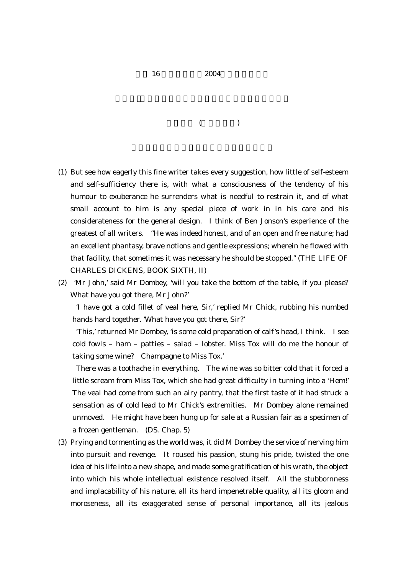$16$   $2004$ 

 $($   $)$ 

- (1) But see how eagerly this fine writer takes every suggestion, how little of self-esteem and self-sufficiency there is, with what a consciousness of the tendency of his humour to exuberance he surrenders what is needful to restrain it, and of what small account to him is any special piece of work in in his care and his considerateness for the general design. I think of Ben Jonson's experience of the greatest of all writers. "He was indeed honest, and of an open and free nature; had an excellent phantasy, brave notions and gentle expressions; wherein he flowed with that facility, that sometimes it was necessary he should be stopped." (THE LIFE OF CHARLES DICKENS, BOOK SIXTH, II)
- (2) 'Mr John,' said Mr Dombey, 'will you take the bottom of the table, if you please? What have you got there, Mr John?'

 'I have got a cold fillet of veal here, Sir,' replied Mr Chick, rubbing his numbed hands hard together. 'What have you got there, Sir?'

 'This,' returned Mr Dombey, 'is some cold preparation of calf's head, I think. I see cold fowls – ham – patties – salad – lobster. Miss Tox will do me the honour of taking some wine? Champagne to Miss Tox.'

 There was a toothache in everything. The wine was so bitter cold that it forced a little scream from Miss Tox, which she had great difficulty in turning into a 'Hem!' The veal had come from such an airy pantry, that the first taste of it had struck a sensation as of cold lead to Mr Chick's extremities. Mr Dombey alone remained unmoved. He might have been hung up for sale at a Russian fair as a specimen of a frozen gentleman. (DS. Chap. 5)

(3) Prying and tormenting as the world was, it did M Dombey the service of nerving him into pursuit and revenge. It roused his passion, stung his pride, twisted the one idea of his life into a new shape, and made some gratification of his wrath, the object into which his whole intellectual existence resolved itself. All the stubbornness and implacability of his nature, all its hard impenetrable quality, all its gloom and moroseness, all its exaggerated sense of personal importance, all its jealous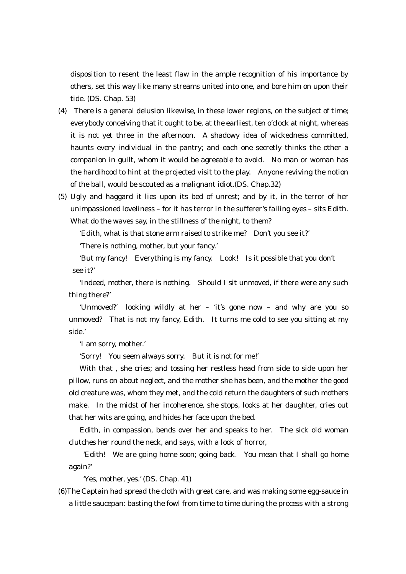disposition to resent the least flaw in the ample recognition of his importance by others, set this way like many streams united into one, and bore him on upon their tide. (DS. Chap. 53)

- (4) There is a general delusion likewise, in these lower regions, on the subject of time; everybody conceiving that it ought to be, at the earliest, ten o'clock at night, whereas it is not yet three in the afternoon. A shadowy idea of wickedness committed, haunts every individual in the pantry; and each one secretly thinks the other a companion in guilt, whom it would be agreeable to avoid. No man or woman has the hardihood to hint at the projected visit to the play. Anyone reviving the notion of the ball, would be scouted as a malignant idiot.(DS. Chap.32)
- (5) Ugly and haggard it lies upon its bed of unrest; and by it, in the terror of her unimpassioned loveliness – for it has terror in the sufferer's failing eyes – sits Edith. What do the waves say, in the stillness of the night, to them?

'Edith, what is that stone arm raised to strike me? Don't you see it?'

'There is nothing, mother, but your fancy.'

 'But my fancy! Everything is my fancy. Look! Is it possible that you don't see it?'

 'Indeed, mother, there is nothing. Should I sit unmoved, if there were any such thing there?'

 'Unmoved?' looking wildly at her – 'it's gone now – and why are you so unmoved? That is not my fancy, Edith. It turns me cold to see you sitting at my side.'

'I am sorry, mother.'

'Sorry! You seem always sorry. But it is not for me!'

 With that , she cries; and tossing her restless head from side to side upon her pillow, runs on about neglect, and the mother she has been, and the mother the good old creature was, whom they met, and the cold return the daughters of such mothers make. In the midst of her incoherence, she stops, looks at her daughter, cries out that her wits are going, and hides her face upon the bed.

 Edith, in compassion, bends over her and speaks to her. The sick old woman clutches her round the neck, and says, with a look of horror,

 'Edith! We are going home soon; going back. You mean that I shall go home again?'

'Yes, mother, yes.' (DS. Chap. 41)

(6)The Captain had spread the cloth with great care, and was making some egg-sauce in a little saucepan: basting the fowl from time to time during the process with a strong